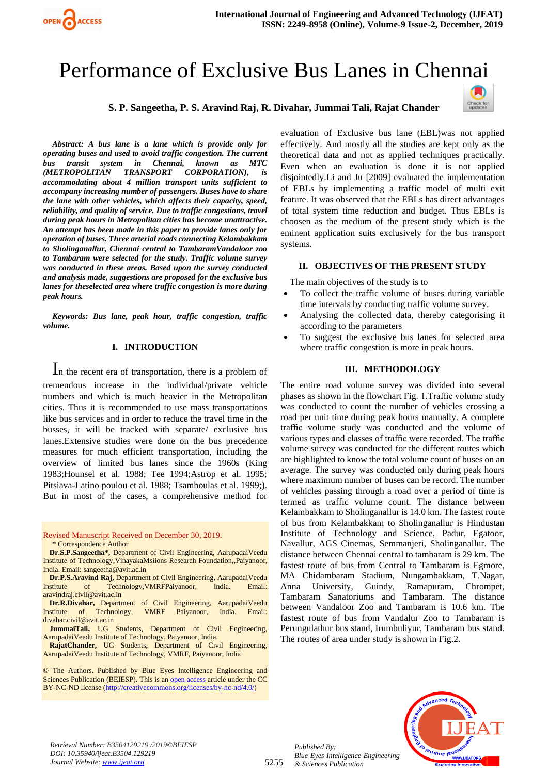

# Performance of Exclusive Bus Lanes in Chennai

**S. P. Sangeetha, P. S. Aravind Raj, R. Divahar, Jummai Tali, Rajat Chander**



*Abstract: A bus lane is a lane which is provide only for operating buses and used to avoid traffic congestion. The current bus transit system in Chennai, known as MTC (METROPOLITAN TRANSPORT CORPORATION), is accommodating about 4 million transport units sufficient to accompany increasing number of passengers. Buses have to share the lane with other vehicles, which affects their capacity, speed, reliability, and quality of service. Due to traffic congestions, travel during peak hours in Metropolitan cities has become unattractive. An attempt has been made in this paper to provide lanes only for operation of buses. Three arterial roads connecting Kelambakkam to Sholinganallur, Chennai central to TambaramVandaloor zoo to Tambaram were selected for the study. Traffic volume survey was conducted in these areas. Based upon the survey conducted and analysis made, suggestions are proposed for the exclusive bus lanes for theselected area where traffic congestion is more during peak hours.*

*Keywords: Bus lane, peak hour, traffic congestion, traffic volume.* 

## **I. INTRODUCTION**

In the recent era of transportation, there is a problem of tremendous increase in the individual/private vehicle numbers and which is much heavier in the Metropolitan cities. Thus it is recommended to use mass transportations like bus services and in order to reduce the travel time in the busses, it will be tracked with separate/ exclusive bus lanes.Extensive studies were done on the bus precedence measures for much efficient transportation, including the overview of limited bus lanes since the 1960s (King 1983;Hounsel et al. 1988; Tee 1994;Astrop et al. 1995; Pitsiava-Latino poulou et al. 1988; Tsamboulas et al. 1999;). But in most of the cases, a comprehensive method for

Revised Manuscript Received on December 30, 2019. \* Correspondence Author

**Dr.S.P.Sangeetha\*,** Department of Civil Engineering, AarupadaiVeedu Institute of Technology,VinayakaMsiions Research Foundation,,Paiyanoor, India. Email: sangeetha@avit.ac.in

**Dr.P.S.Aravind Raj,** Department of Civil Engineering, AarupadaiVeedu<br>stitute of Technology VMRFPaiyanoor India Email: Institute of Technology,VMRFPaiyanoor, India. Email: aravindraj.civil@avit.ac.in

**Dr.R.Divahar,** Department of Civil Engineering, AarupadaiVeedu Institute of Technology, VMRF Paiyanoor, India. Email: [divahar.civil@avit.ac.in](mailto:divahar.civil@avit.ac.in)

**JummaiTali,** UG Students, Department of Civil Engineering, AarupadaiVeedu Institute of Technology, Paiyanoor, India.

**RajatChander,** UG Students**,** Department of Civil Engineering, AarupadaiVeedu Institute of Technology, VMRF, Paiyanoor, India

© The Authors. Published by Blue Eyes Intelligence Engineering and Sciences Publication (BEIESP). This is a[n open access](https://www.openaccess.nl/en/open-publications) article under the CC BY-NC-ND license [\(http://creativecommons.org/licenses/by-nc-nd/4.0/\)](http://creativecommons.org/licenses/by-nc-nd/4.0/)

evaluation of Exclusive bus lane (EBL)was not applied effectively. And mostly all the studies are kept only as the theoretical data and not as applied techniques practically. Even when an evaluation is done it is not applied disjointedly.Li and Ju [2009] evaluated the implementation of EBLs by implementing a traffic model of multi exit feature. It was observed that the EBLs has direct advantages of total system time reduction and budget. Thus EBLs is choosen as the medium of the present study which is the eminent application suits exclusively for the bus transport systems.

### **II. OBJECTIVES OF THE PRESENT STUDY**

The main objectives of the study is to

- To collect the traffic volume of buses during variable time intervals by conducting traffic volume survey.
- Analysing the collected data, thereby categorising it according to the parameters
- To suggest the exclusive bus lanes for selected area where traffic congestion is more in peak hours.

## **III. METHODOLOGY**

The entire road volume survey was divided into several phases as shown in the flowchart Fig. 1.Traffic volume study was conducted to count the number of vehicles crossing a road per unit time during peak hours manually. A complete traffic volume study was conducted and the volume of various types and classes of traffic were recorded. The traffic volume survey was conducted for the different routes which are highlighted to know the total volume count of buses on an average. The survey was conducted only during peak hours where maximum number of buses can be record. The number of vehicles passing through a road over a period of time is termed as traffic volume count. The distance between Kelambakkam to Sholinganallur is 14.0 km. The fastest route of bus from Kelambakkam to Sholinganallur is Hindustan Institute of Technology and Science, Padur, Egatoor, Navallur, AGS Cinemas, Semmanjeri, Sholinganallur. The distance between Chennai central to tambaram is 29 km. The fastest route of bus from Central to Tambaram is Egmore, MA Chidambaram Stadium, Nungambakkam, T.Nagar, Anna University, Guindy, Ramapuram, Chrompet, Tambaram Sanatoriums and Tambaram. The distance between Vandaloor Zoo and Tambaram is 10.6 km. The fastest route of bus from Vandalur Zoo to Tambaram is Perungulathur bus stand, Irumbuliyur, Tambaram bus stand. The routes of area under study is shown in Fig.2.



*Published By: Blue Eyes Intelligence Engineering & Sciences Publication*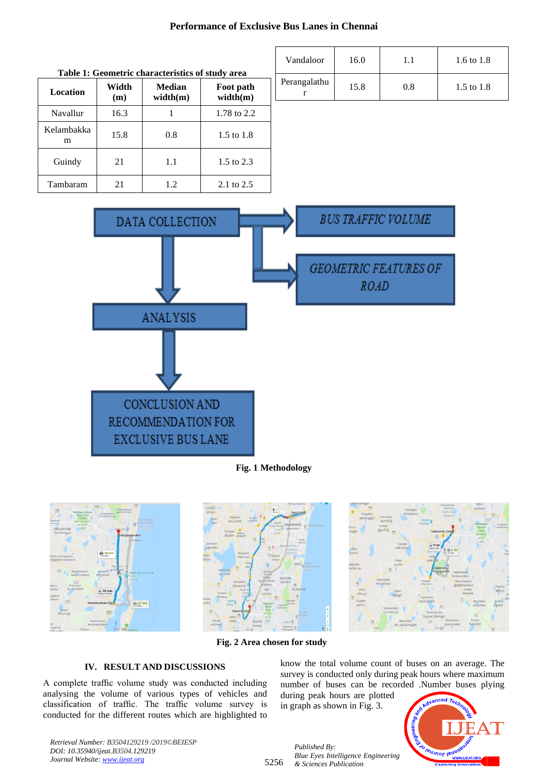# **Performance of Exclusive Bus Lanes in Chennai**

| Table 1: Geometric characteristics of study area |              |                    |                       |  |
|--------------------------------------------------|--------------|--------------------|-----------------------|--|
| Location                                         | Width<br>(m) | Median<br>width(m) | Foot path<br>width(m) |  |
| Navallur                                         | 16.3         |                    | 1.78 to 2.2           |  |
| Kelambakka<br>m                                  | 15.8         | 0.8                | 1.5 to 1.8            |  |
| Guindy                                           | 21           | 1.1                | 1.5 to 2.3            |  |
| Tambaram                                         | 21           | 1.2.               | $2.1 \text{ to } 2.5$ |  |

| Vandaloor    | 16.0 |     | 1.6 to 1.8   |
|--------------|------|-----|--------------|
| Perangalathu | 15.8 | 0.8 | 1.5 to $1.8$ |



**Fig. 1 Methodology**



**Fig. 2 Area chosen for study**

## **IV. RESULT AND DISCUSSIONS**

A complete traffic volume study was conducted including analysing the volume of various types of vehicles and classification of traffic. The traffic volume survey is conducted for the different routes which are highlighted to know the total volume count of buses on an average. The survey is conducted only during peak hours where maximum number of buses can be recorded .Number buses plying

during peak hours are plotted in graph as shown in Fig. 3.

*Blue Eyes Intelligence Engineering* 

*Published By:*

*& Sciences Publication* 



*Retrieval Number: B3504129219 /2019©BEIESP DOI: 10.35940/ijeat.B3504.129219 Journal Website[: www.ijeat.org](http://www.ijeat.org/)*

5256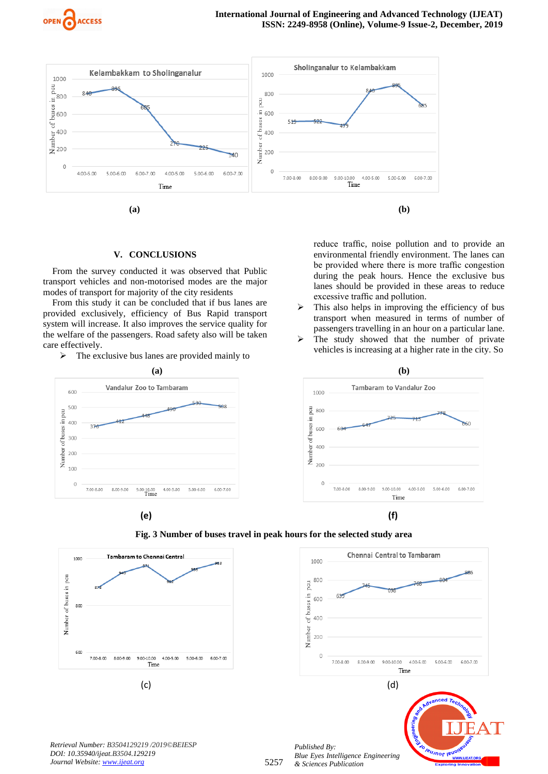



## **V. CONCLUSIONS**

From the survey conducted it was observed that Public transport vehicles and non-motorised modes are the major modes of transport for majority of the city residents

From this study it can be concluded that if bus lanes are provided exclusively, efficiency of Bus Rapid transport system will increase. It also improves the service quality for the welfare of the passengers. Road safety also will be taken care effectively.

➢ The exclusive bus lanes are provided mainly to



reduce traffic, noise pollution and to provide an environmental friendly environment. The lanes can be provided where there is more traffic congestion during the peak hours. Hence the exclusive bus lanes should be provided in these areas to reduce excessive traffic and pollution.  $\triangleright$  This also helps in improving the efficiency of bus

- transport when measured in terms of number of passengers travelling in an hour on a particular lane.
- $\triangleright$  The study showed that the number of private vehicles is increasing at a higher rate in the city. So









*Retrieval Number: B3504129219 /2019©BEIESP DOI: 10.35940/ijeat.B3504.129219 Journal Website[: www.ijeat.org](http://www.ijeat.org/)*



*Published By: Blue Eyes Intelligence Engineering & Sciences Publication*